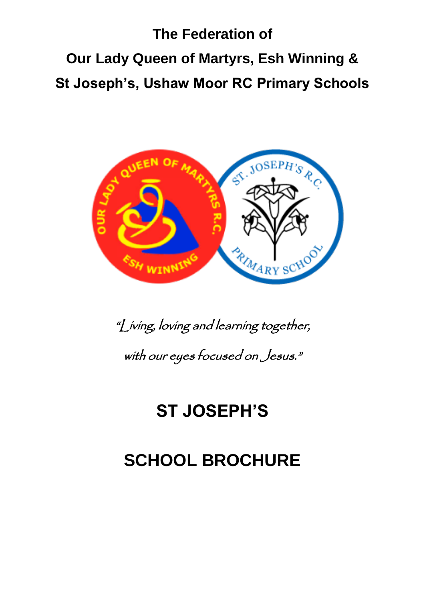# **The Federation of Our Lady Queen of Martyrs, Esh Winning & St Joseph's, Ushaw Moor RC Primary Schools**



"Living, loving and learning together, with our eyes focused on Jesus."

## **ST JOSEPH'S**

# **SCHOOL BROCHURE**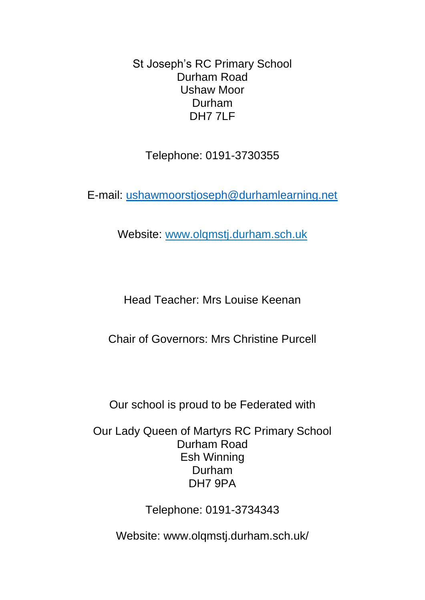St Joseph's RC Primary School Durham Road Ushaw Moor Durham DH7 7LF

Telephone: 0191-3730355

E-mail: [ushawmoorstjoseph@durhamlearning.net](mailto:ushawmoorstjoseph@durhamlearning.net)

Website: www.olqmstj.durham.sch.uk

Head Teacher: Mrs Louise Keenan

Chair of Governors: Mrs Christine Purcell

Our school is proud to be Federated with

Our Lady Queen of Martyrs RC Primary School Durham Road Esh Winning Durham DH7 9PA

Telephone: 0191-3734343

Website: www.olqmstj.durham.sch.uk/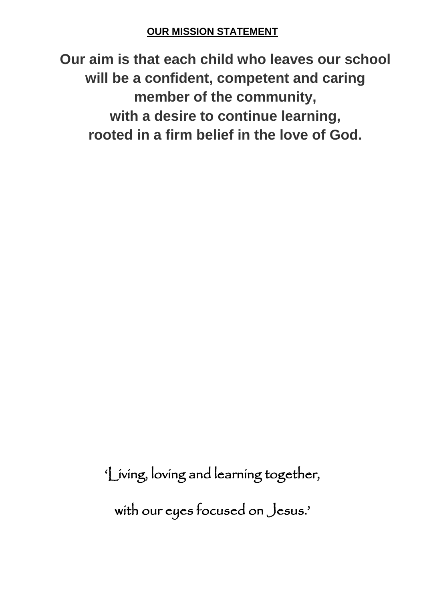## **OUR MISSION STATEMENT**

**Our aim is that each child who leaves our school will be a confident, competent and caring member of the community, with a desire to continue learning, rooted in a firm belief in the love of God.**

'Living, loving and learning together,

with our eyes focused on Jesus.'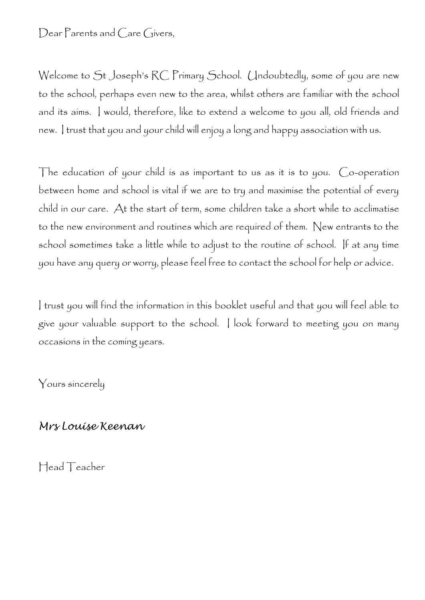Dear Parents and Care Givers,

Welcome to St Joseph's RC Primary School. Undoubtedly, some of you are new to the school, perhaps even new to the area, whilst others are familiar with the school and its aims. I would, therefore, like to extend a welcome to you all, old friends and new. I trust that you and your child will enjoy a long and happy association with us.

The education of your child is as important to us as it is to you. Co-operation between home and school is vital if we are to try and maximise the potential of every child in our care. At the start of term, some children take a short while to acclimatise to the new environment and routines which are required of them. New entrants to the school sometimes take a little while to adjust to the routine of school. If at any time you have any query or worry, please feel free to contact the school for help or advice.

I trust you will find the information in this booklet useful and that you will feel able to give your valuable support to the school. I look forward to meeting you on many occasions in the coming years.

Yours sincerely

*Mrs Louise Keenan*

Head Teacher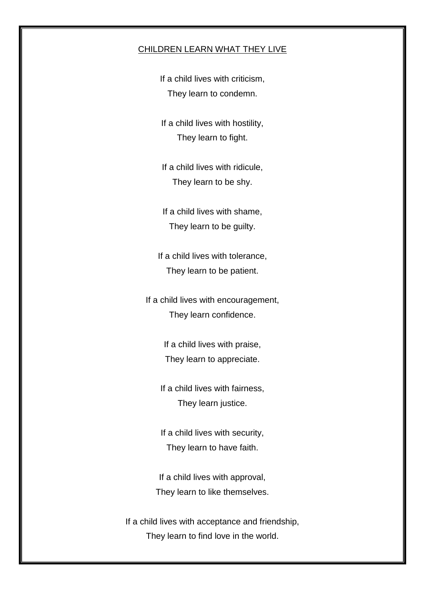#### CHILDREN LEARN WHAT THEY LIVE

If a child lives with criticism, They learn to condemn.

If a child lives with hostility, They learn to fight.

If a child lives with ridicule, They learn to be shy.

If a child lives with shame, They learn to be guilty.

If a child lives with tolerance, They learn to be patient.

If a child lives with encouragement, They learn confidence.

> If a child lives with praise, They learn to appreciate.

If a child lives with fairness, They learn justice.

If a child lives with security, They learn to have faith.

If a child lives with approval, They learn to like themselves.

If a child lives with acceptance and friendship, They learn to find love in the world.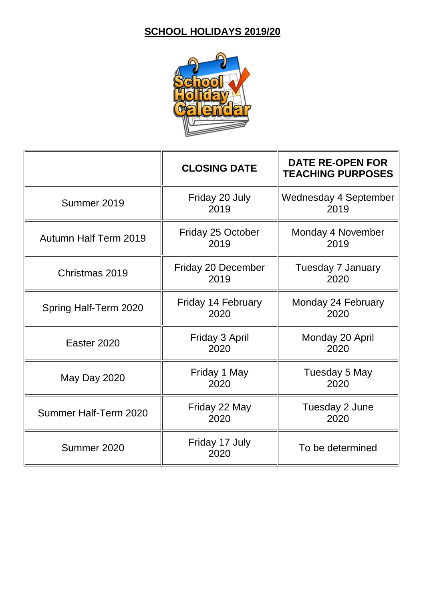## **SCHOOL HOLIDAYS 2019/20**



|                              | <b>CLOSING DATE</b>               | <b>DATE RE-OPEN FOR</b><br><b>TEACHING PURPOSES</b> |
|------------------------------|-----------------------------------|-----------------------------------------------------|
| Summer 2019                  | Friday 20 July<br>2019            | <b>Wednesday 4 September</b><br>2019                |
| <b>Autumn Half Term 2019</b> | <b>Friday 25 October</b><br>2019  | Monday 4 November<br>2019                           |
| Christmas 2019               | Friday 20 December<br>2019        | Tuesday 7 January<br>2020                           |
| Spring Half-Term 2020        | <b>Friday 14 February</b><br>2020 | Monday 24 February<br>2020                          |
| Easter 2020                  | Friday 3 April<br>2020            | Monday 20 April<br>2020                             |
| May Day 2020                 | Friday 1 May<br>2020              | Tuesday 5 May<br>2020                               |
| Summer Half-Term 2020        | Friday 22 May<br>2020             | Tuesday 2 June<br>2020                              |
| Summer 2020                  | Friday 17 July<br>2020            | To be determined                                    |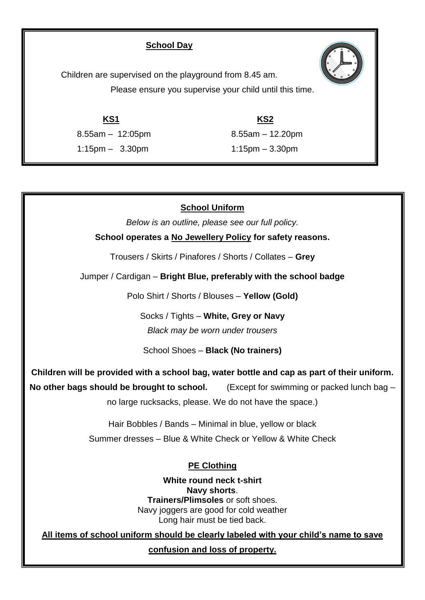#### **School Day**

Children are supervised on the playground from 8.45 am. Please ensure you supervise your child until this time.

**KS1 KS2** 8.55am – 12:05pm 8.55am – 12.20pm 1:15pm – 3.30pm 1:15pm – 3.30pm

## **School Uniform**

*Below is an outline, please see our full policy.*

**School operates a No Jewellery Policy for safety reasons.**

Trousers / Skirts / Pinafores / Shorts / Collates – **Grey**

Jumper / Cardigan – **Bright Blue, preferably with the school badge**

Polo Shirt / Shorts / Blouses – **Yellow (Gold)**

Socks / Tights – **White, Grey or Navy** *Black may be worn under trousers*

School Shoes – **Black (No trainers)**

**Children will be provided with a school bag, water bottle and cap as part of their uniform. No other bags should be brought to school.** (Except for swimming or packed lunch bag –

no large rucksacks, please. We do not have the space.)

Hair Bobbles / Bands – Minimal in blue, yellow or black

Summer dresses – Blue & White Check or Yellow & White Check

**PE Clothing**

**White round neck t-shirt Navy shorts**. **Trainers/Plimsoles** or soft shoes. Navy joggers are good for cold weather Long hair must be tied back.

**All items of school uniform should be clearly labeled with your child's name to save** 

**confusion and loss of property.**

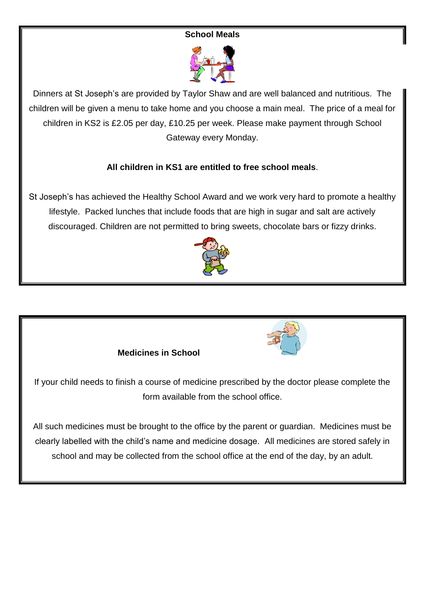#### **School Meals**



Dinners at St Joseph's are provided by Taylor Shaw and are well balanced and nutritious. The children will be given a menu to take home and you choose a main meal. The price of a meal for children in KS2 is £2.05 per day, £10.25 per week. Please make payment through School Gateway every Monday.

#### **All children in KS1 are entitled to free school meals**.

St Joseph's has achieved the Healthy School Award and we work very hard to promote a healthy lifestyle. Packed lunches that include foods that are high in sugar and salt are actively discouraged. Children are not permitted to bring sweets, chocolate bars or fizzy drinks.



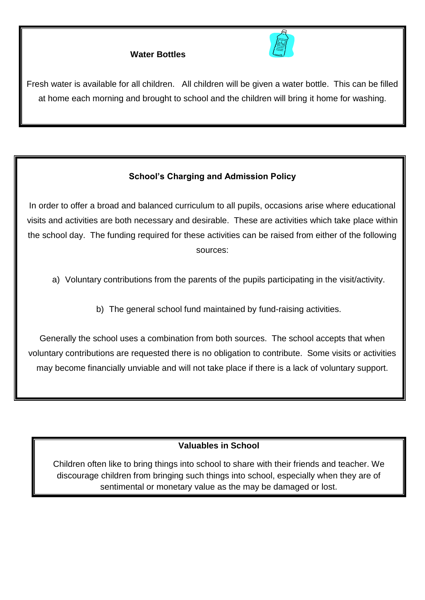## **Water Bottles**



Fresh water is available for all children. All children will be given a water bottle. This can be filled at home each morning and brought to school and the children will bring it home for washing.

## **School's Charging and Admission Policy**

In order to offer a broad and balanced curriculum to all pupils, occasions arise where educational visits and activities are both necessary and desirable. These are activities which take place within the school day. The funding required for these activities can be raised from either of the following sources:

- a) Voluntary contributions from the parents of the pupils participating in the visit/activity.
	- b) The general school fund maintained by fund-raising activities.

Generally the school uses a combination from both sources. The school accepts that when voluntary contributions are requested there is no obligation to contribute. Some visits or activities may become financially unviable and will not take place if there is a lack of voluntary support.

## **Valuables in School**

Children often like to bring things into school to share with their friends and teacher. We discourage children from bringing such things into school, especially when they are of sentimental or monetary value as the may be damaged or lost.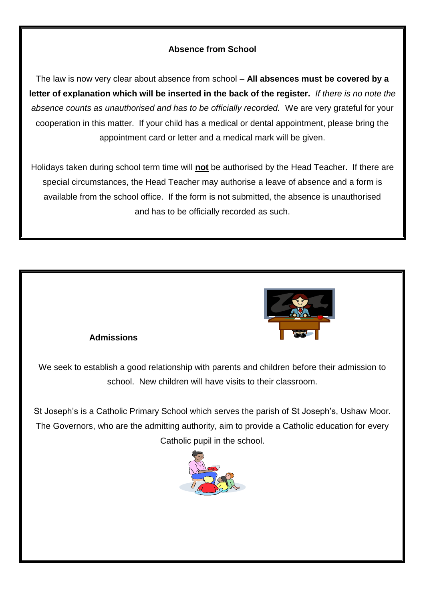## **Absence from School**

The law is now very clear about absence from school – **All absences must be covered by a letter of explanation which will be inserted in the back of the register.** *If there is no note the absence counts as unauthorised and has to be officially recorded.* We are very grateful for your cooperation in this matter. If your child has a medical or dental appointment, please bring the appointment card or letter and a medical mark will be given.

Holidays taken during school term time will **not** be authorised by the Head Teacher. If there are special circumstances, the Head Teacher may authorise a leave of absence and a form is available from the school office. If the form is not submitted, the absence is unauthorised and has to be officially recorded as such.



#### **Admissions**

We seek to establish a good relationship with parents and children before their admission to school. New children will have visits to their classroom.

St Joseph's is a Catholic Primary School which serves the parish of St Joseph's, Ushaw Moor. The Governors, who are the admitting authority, aim to provide a Catholic education for every Catholic pupil in the school.

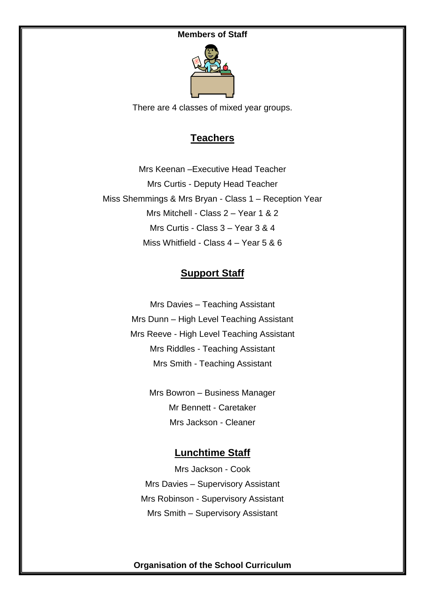#### **Members of Staff**



There are 4 classes of mixed year groups.

## **Teachers**

Mrs Keenan –Executive Head Teacher Mrs Curtis - Deputy Head Teacher Miss Shemmings & Mrs Bryan - Class 1 – Reception Year Mrs Mitchell - Class 2 – Year 1 & 2 Mrs Curtis - Class 3 – Year 3 & 4 Miss Whitfield - Class 4 – Year 5 & 6

## **Support Staff**

Mrs Davies – Teaching Assistant Mrs Dunn – High Level Teaching Assistant Mrs Reeve - High Level Teaching Assistant Mrs Riddles - Teaching Assistant Mrs Smith - Teaching Assistant

> Mrs Bowron – Business Manager Mr Bennett - Caretaker Mrs Jackson - Cleaner

## **Lunchtime Staff**

Mrs Jackson - Cook Mrs Davies – Supervisory Assistant Mrs Robinson - Supervisory Assistant Mrs Smith – Supervisory Assistant

**Organisation of the School Curriculum**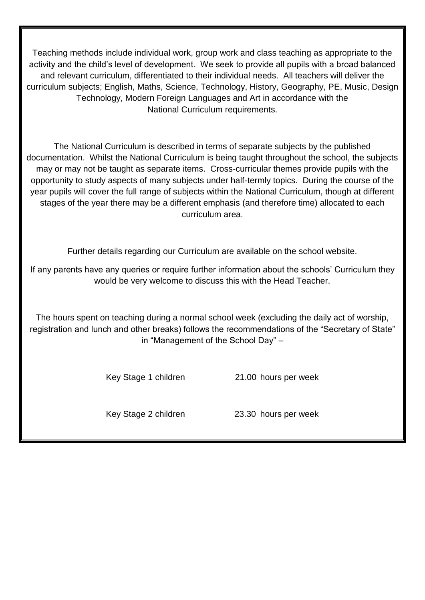Teaching methods include individual work, group work and class teaching as appropriate to the activity and the child's level of development. We seek to provide all pupils with a broad balanced and relevant curriculum, differentiated to their individual needs. All teachers will deliver the curriculum subjects; English, Maths, Science, Technology, History, Geography, PE, Music, Design Technology, Modern Foreign Languages and Art in accordance with the National Curriculum requirements.

The National Curriculum is described in terms of separate subjects by the published documentation. Whilst the National Curriculum is being taught throughout the school, the subjects may or may not be taught as separate items. Cross-curricular themes provide pupils with the opportunity to study aspects of many subjects under half-termly topics. During the course of the year pupils will cover the full range of subjects within the National Curriculum, though at different stages of the year there may be a different emphasis (and therefore time) allocated to each curriculum area.

Further details regarding our Curriculum are available on the school website.

If any parents have any queries or require further information about the schools' Curriculum they would be very welcome to discuss this with the Head Teacher.

The hours spent on teaching during a normal school week (excluding the daily act of worship, registration and lunch and other breaks) follows the recommendations of the "Secretary of State" in "Management of the School Day" –

Key Stage 1 children 21.00 hours per week

Key Stage 2 children 23.30 hours per week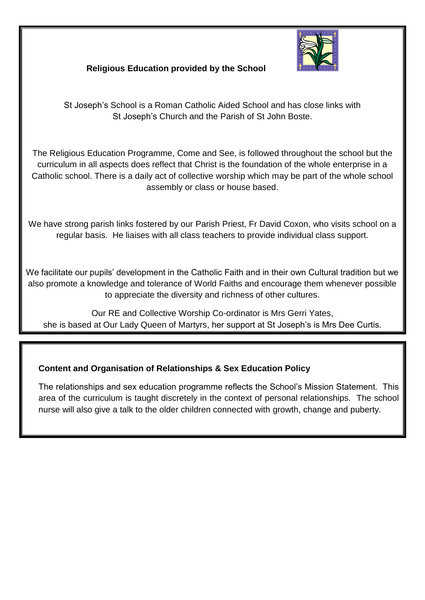

## **Religious Education provided by the School**

St Joseph's School is a Roman Catholic Aided School and has close links with St Joseph's Church and the Parish of St John Boste.

The Religious Education Programme, Come and See, is followed throughout the school but the curriculum in all aspects does reflect that Christ is the foundation of the whole enterprise in a Catholic school. There is a daily act of collective worship which may be part of the whole school assembly or class or house based.

We have strong parish links fostered by our Parish Priest, Fr David Coxon, who visits school on a regular basis. He liaises with all class teachers to provide individual class support.

We facilitate our pupils' development in the Catholic Faith and in their own Cultural tradition but we also promote a knowledge and tolerance of World Faiths and encourage them whenever possible to appreciate the diversity and richness of other cultures.

Our RE and Collective Worship Co-ordinator is Mrs Gerri Yates, she is based at Our Lady Queen of Martyrs, her support at St Joseph's is Mrs Dee Curtis.

## **Content and Organisation of Relationships & Sex Education Policy**

The relationships and sex education programme reflects the School's Mission Statement. This area of the curriculum is taught discretely in the context of personal relationships. The school nurse will also give a talk to the older children connected with growth, change and puberty.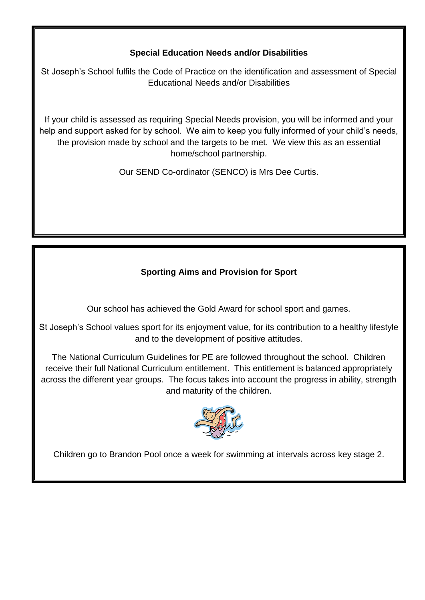## **Special Education Needs and/or Disabilities**

St Joseph's School fulfils the Code of Practice on the identification and assessment of Special Educational Needs and/or Disabilities

If your child is assessed as requiring Special Needs provision, you will be informed and your help and support asked for by school. We aim to keep you fully informed of your child's needs, the provision made by school and the targets to be met. We view this as an essential home/school partnership.

Our SEND Co-ordinator (SENCO) is Mrs Dee Curtis.

## **Sporting Aims and Provision for Sport**

Our school has achieved the Gold Award for school sport and games.

St Joseph's School values sport for its enjoyment value, for its contribution to a healthy lifestyle and to the development of positive attitudes.

The National Curriculum Guidelines for PE are followed throughout the school. Children receive their full National Curriculum entitlement. This entitlement is balanced appropriately across the different year groups. The focus takes into account the progress in ability, strength and maturity of the children.



Children go to Brandon Pool once a week for swimming at intervals across key stage 2.